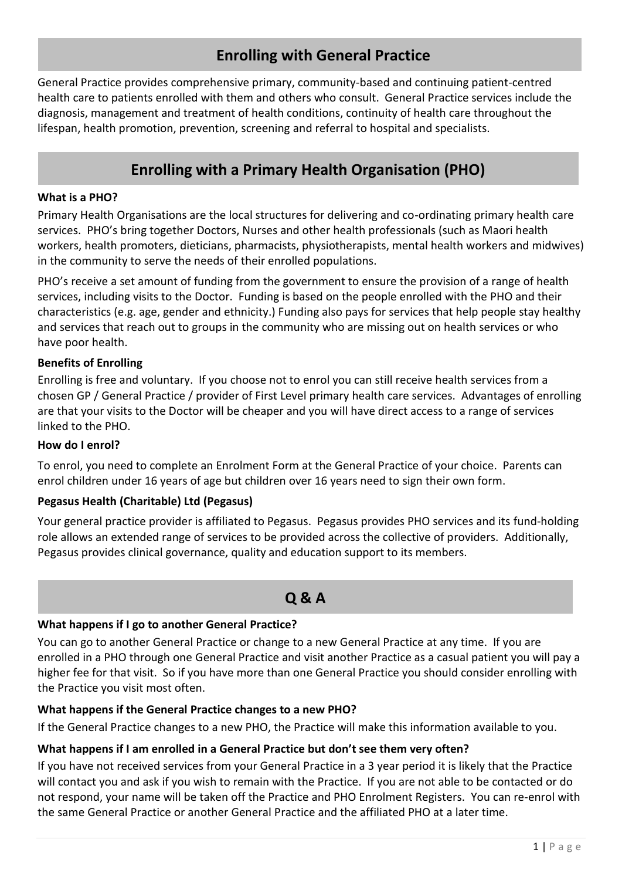# **Enrolling with General Practice**

General Practice provides comprehensive primary, community-based and continuing patient-centred health care to patients enrolled with them and others who consult. General Practice services include the diagnosis, management and treatment of health conditions, continuity of health care throughout the lifespan, health promotion, prevention, screening and referral to hospital and specialists.

# **Enrolling with a Primary Health Organisation (PHO)**

#### **What is a PHO?**

Primary Health Organisations are the local structures for delivering and co-ordinating primary health care services. PHO's bring together Doctors, Nurses and other health professionals (such as Maori health workers, health promoters, dieticians, pharmacists, physiotherapists, mental health workers and midwives) in the community to serve the needs of their enrolled populations.

PHO's receive a set amount of funding from the government to ensure the provision of a range of health services, including visits to the Doctor. Funding is based on the people enrolled with the PHO and their characteristics (e.g. age, gender and ethnicity.) Funding also pays for services that help people stay healthy and services that reach out to groups in the community who are missing out on health services or who have poor health.

#### **Benefits of Enrolling**

Enrolling is free and voluntary. If you choose not to enrol you can still receive health services from a chosen GP / General Practice / provider of First Level primary health care services. Advantages of enrolling are that your visits to the Doctor will be cheaper and you will have direct access to a range of services linked to the PHO.

#### **How do I enrol?**

To enrol, you need to complete an Enrolment Form at the General Practice of your choice. Parents can enrol children under 16 years of age but children over 16 years need to sign their own form.

### **Pegasus Health (Charitable) Ltd (Pegasus)**

Your general practice provider is affiliated to Pegasus. Pegasus provides PHO services and its fund-holding role allows an extended range of services to be provided across the collective of providers. Additionally, Pegasus provides clinical governance, quality and education support to its members.

# **Q & A**

### **What happens if I go to another General Practice?**

You can go to another General Practice or change to a new General Practice at any time. If you are enrolled in a PHO through one General Practice and visit another Practice as a casual patient you will pay a higher fee for that visit. So if you have more than one General Practice you should consider enrolling with the Practice you visit most often.

### **What happens if the General Practice changes to a new PHO?**

If the General Practice changes to a new PHO, the Practice will make this information available to you.

### **What happens if I am enrolled in a General Practice but don't see them very often?**

If you have not received services from your General Practice in a 3 year period it is likely that the Practice will contact you and ask if you wish to remain with the Practice. If you are not able to be contacted or do not respond, your name will be taken off the Practice and PHO Enrolment Registers. You can re-enrol with the same General Practice or another General Practice and the affiliated PHO at a later time.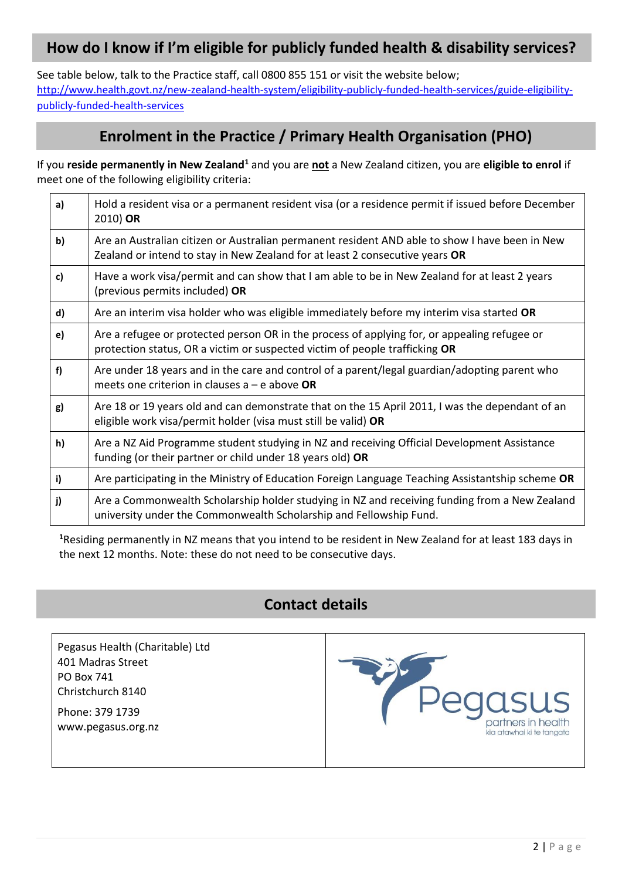# **How do I know if I'm eligible for publicly funded health & disability services?**

See table below, talk to the Practice staff, call 0800 855 151 or visit the website below; [http://www.health.govt.nz/new-zealand-health-system/eligibility-publicly-funded-health-services/guide-eligibility](http://www.health.govt.nz/new-zealand-health-system/eligibility-publicly-funded-health-services/guide-eligibility-publicly-funded-health-services)[publicly-funded-health-services](http://www.health.govt.nz/new-zealand-health-system/eligibility-publicly-funded-health-services/guide-eligibility-publicly-funded-health-services)

## **Enrolment in the Practice / Primary Health Organisation (PHO)**

If you **reside permanently in New Zealand<sup>1</sup>** and you are **not** a New Zealand citizen, you are **eligible to enrol** if meet one of the following eligibility criteria:

| a) | Hold a resident visa or a permanent resident visa (or a residence permit if issued before December<br>2010) OR                                                                 |
|----|--------------------------------------------------------------------------------------------------------------------------------------------------------------------------------|
| b) | Are an Australian citizen or Australian permanent resident AND able to show I have been in New<br>Zealand or intend to stay in New Zealand for at least 2 consecutive years OR |
| c) | Have a work visa/permit and can show that I am able to be in New Zealand for at least 2 years<br>(previous permits included) OR                                                |
| d) | Are an interim visa holder who was eligible immediately before my interim visa started OR                                                                                      |
| e) | Are a refugee or protected person OR in the process of applying for, or appealing refugee or<br>protection status, OR a victim or suspected victim of people trafficking OR    |
| f) | Are under 18 years and in the care and control of a parent/legal guardian/adopting parent who<br>meets one criterion in clauses $a - e$ above OR                               |
| g) | Are 18 or 19 years old and can demonstrate that on the 15 April 2011, I was the dependant of an<br>eligible work visa/permit holder (visa must still be valid) OR              |
| h) | Are a NZ Aid Programme student studying in NZ and receiving Official Development Assistance<br>funding (or their partner or child under 18 years old) OR                       |
| i) | Are participating in the Ministry of Education Foreign Language Teaching Assistantship scheme OR                                                                               |
| j) | Are a Commonwealth Scholarship holder studying in NZ and receiving funding from a New Zealand<br>university under the Commonwealth Scholarship and Fellowship Fund.            |

**<sup>1</sup>**Residing permanently in NZ means that you intend to be resident in New Zealand for at least 183 days in the next 12 months. Note: these do not need to be consecutive days.

## **Contact details**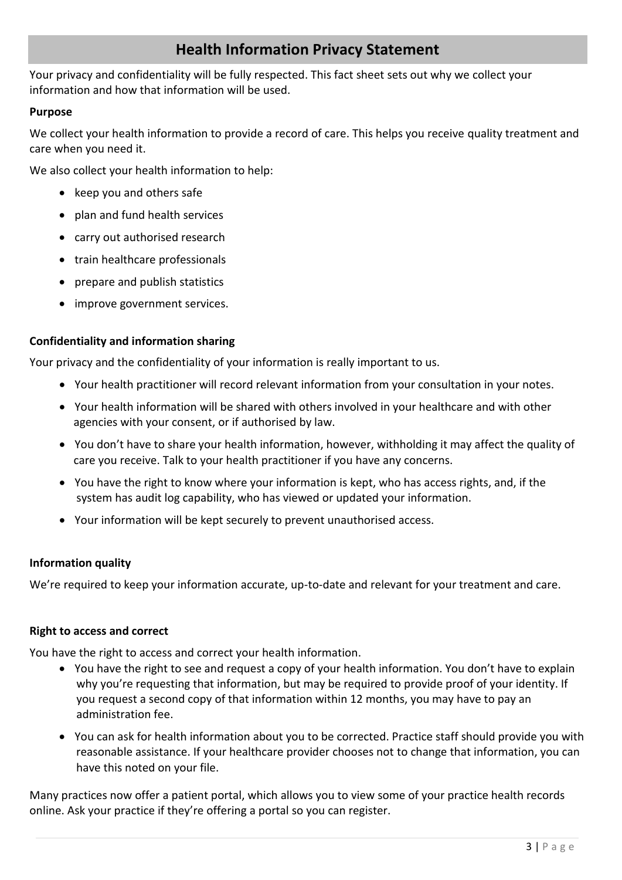## **Health Information Privacy Statement**

Your privacy and confidentiality will be fully respected. This fact sheet sets out why we collect your information and how that information will be used.

### **Purpose**

We collect your health information to provide a record of care. This helps you receive quality treatment and care when you need it.

We also collect your health information to help:

- keep you and others safe
- plan and fund health services
- carry out authorised research
- train healthcare professionals
- prepare and publish statistics
- improve government services.

### **Confidentiality and information sharing**

Your privacy and the confidentiality of your information is really important to us.

- Your health practitioner will record relevant information from your consultation in your notes.
- Your health information will be shared with others involved in your healthcare and with other agencies with your consent, or if authorised by law.
- You don't have to share your health information, however, withholding it may affect the quality of care you receive. Talk to your health practitioner if you have any concerns.
- You have the right to know where your information is kept, who has access rights, and, if the system has audit log capability, who has viewed or updated your information.
- Your information will be kept securely to prevent unauthorised access.

### **Information quality**

We're required to keep your information accurate, up-to-date and relevant for your treatment and care.

### **Right to access and correct**

You have the right to access and correct your health information.

- You have the right to see and request a copy of your health information. You don't have to explain why you're requesting that information, but may be required to provide proof of your identity. If you request a second copy of that information within 12 months, you may have to pay an administration fee.
- You can ask for health information about you to be corrected. Practice staff should provide you with reasonable assistance. If your healthcare provider chooses not to change that information, you can have this noted on your file.

Many practices now offer a patient portal, which allows you to view some of your practice health records online. Ask your practice if they're offering a portal so you can register.